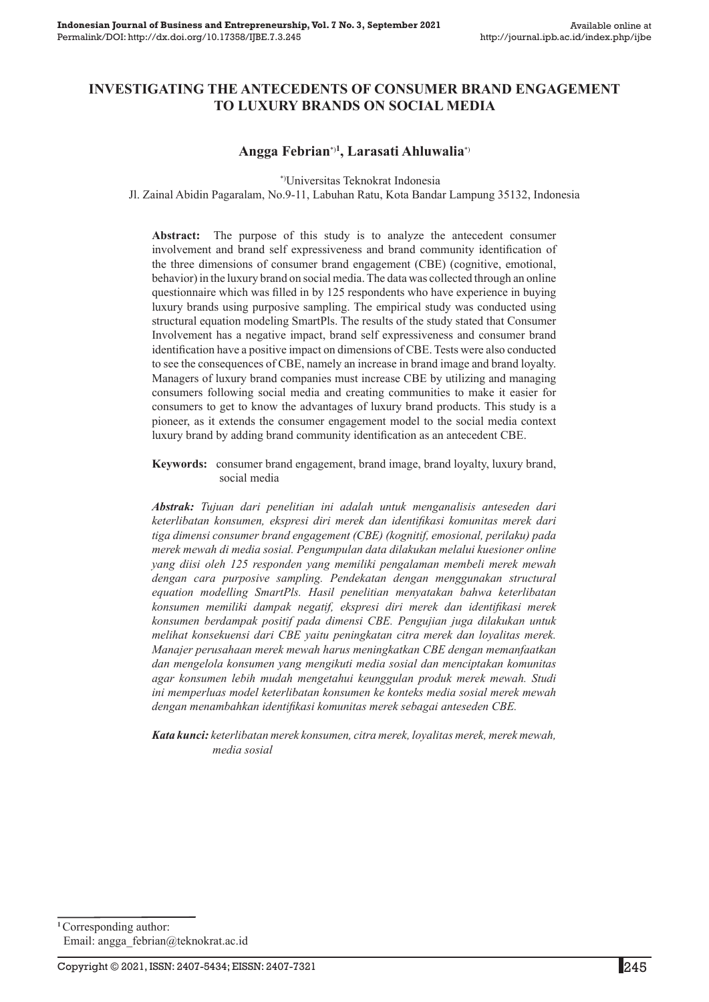## **Investigating the Antecedents of Consumer Brand Engagement to Luxury Brands on Social Media**

## **Angga Febrian**\*)**<sup>1</sup> , Larasati Ahluwalia**\*)

\*)Universitas Teknokrat Indonesia

Jl. Zainal Abidin Pagaralam, No.9-11, Labuhan Ratu, Kota Bandar Lampung 35132, Indonesia

**Abstract:** The purpose of this study is to analyze the antecedent consumer involvement and brand self expressiveness and brand community identification of the three dimensions of consumer brand engagement (CBE) (cognitive, emotional, behavior) in the luxury brand on social media. The data was collected through an online questionnaire which was filled in by 125 respondents who have experience in buying luxury brands using purposive sampling. The empirical study was conducted using structural equation modeling SmartPls. The results of the study stated that Consumer Involvement has a negative impact, brand self expressiveness and consumer brand identification have a positive impact on dimensions of CBE. Tests were also conducted to see the consequences of CBE, namely an increase in brand image and brand loyalty. Managers of luxury brand companies must increase CBE by utilizing and managing consumers following social media and creating communities to make it easier for consumers to get to know the advantages of luxury brand products. This study is a pioneer, as it extends the consumer engagement model to the social media context luxury brand by adding brand community identification as an antecedent CBE.

**Keywords:** consumer brand engagement, brand image, brand loyalty, luxury brand, social media

*Abstrak: Tujuan dari penelitian ini adalah untuk menganalisis anteseden dari keterlibatan konsumen, ekspresi diri merek dan identifikasi komunitas merek dari tiga dimensi consumer brand engagement (CBE) (kognitif, emosional, perilaku) pada merek mewah di media sosial. Pengumpulan data dilakukan melalui kuesioner online yang diisi oleh 125 responden yang memiliki pengalaman membeli merek mewah dengan cara purposive sampling. Pendekatan dengan menggunakan structural equation modelling SmartPls. Hasil penelitian menyatakan bahwa keterlibatan konsumen memiliki dampak negatif, ekspresi diri merek dan identifikasi merek konsumen berdampak positif pada dimensi CBE. Pengujian juga dilakukan untuk melihat konsekuensi dari CBE yaitu peningkatan citra merek dan loyalitas merek. Manajer perusahaan merek mewah harus meningkatkan CBE dengan memanfaatkan dan mengelola konsumen yang mengikuti media sosial dan menciptakan komunitas agar konsumen lebih mudah mengetahui keunggulan produk merek mewah. Studi ini memperluas model keterlibatan konsumen ke konteks media sosial merek mewah dengan menambahkan identifikasi komunitas merek sebagai anteseden CBE.* 

*Kata kunci: keterlibatan merek konsumen, citra merek, loyalitas merek, merek mewah, media sosial*

**<sup>1</sup>**Corresponding author: Email: angga\_febrian@teknokrat.ac.id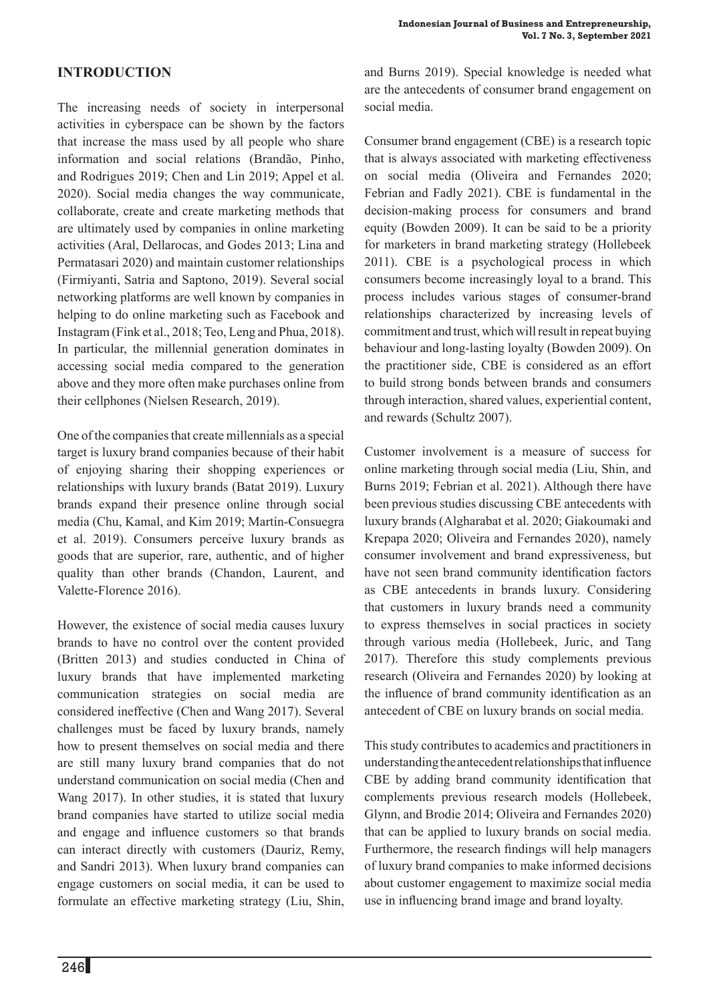# **Introduction**

The increasing needs of society in interpersonal activities in cyberspace can be shown by the factors that increase the mass used by all people who share information and social relations (Brandão, Pinho, and Rodrigues 2019; Chen and Lin 2019; Appel et al. 2020). Social media changes the way communicate, collaborate, create and create marketing methods that are ultimately used by companies in online marketing activities (Aral, Dellarocas, and Godes 2013; Lina and Permatasari 2020) and maintain customer relationships (Firmiyanti, Satria and Saptono, 2019). Several social networking platforms are well known by companies in helping to do online marketing such as Facebook and Instagram (Fink et al., 2018; Teo, Leng and Phua, 2018). In particular, the millennial generation dominates in accessing social media compared to the generation above and they more often make purchases online from their cellphones (Nielsen Research, 2019).

One of the companies that create millennials as a special target is luxury brand companies because of their habit of enjoying sharing their shopping experiences or relationships with luxury brands (Batat 2019). Luxury brands expand their presence online through social media (Chu, Kamal, and Kim 2019; Martín-Consuegra et al. 2019). Consumers perceive luxury brands as goods that are superior, rare, authentic, and of higher quality than other brands (Chandon, Laurent, and Valette-Florence 2016).

However, the existence of social media causes luxury brands to have no control over the content provided (Britten 2013) and studies conducted in China of luxury brands that have implemented marketing communication strategies on social media are considered ineffective (Chen and Wang 2017). Several challenges must be faced by luxury brands, namely how to present themselves on social media and there are still many luxury brand companies that do not understand communication on social media (Chen and Wang 2017). In other studies, it is stated that luxury brand companies have started to utilize social media and engage and influence customers so that brands can interact directly with customers (Dauriz, Remy, and Sandri 2013). When luxury brand companies can engage customers on social media, it can be used to formulate an effective marketing strategy (Liu, Shin,

and Burns 2019). Special knowledge is needed what are the antecedents of consumer brand engagement on social media.

Consumer brand engagement (CBE) is a research topic that is always associated with marketing effectiveness on social media (Oliveira and Fernandes 2020; Febrian and Fadly 2021). CBE is fundamental in the decision-making process for consumers and brand equity (Bowden 2009). It can be said to be a priority for marketers in brand marketing strategy (Hollebeek 2011). CBE is a psychological process in which consumers become increasingly loyal to a brand. This process includes various stages of consumer-brand relationships characterized by increasing levels of commitment and trust, which will result in repeat buying behaviour and long-lasting loyalty (Bowden 2009). On the practitioner side, CBE is considered as an effort to build strong bonds between brands and consumers through interaction, shared values, experiential content, and rewards (Schultz 2007).

Customer involvement is a measure of success for online marketing through social media (Liu, Shin, and Burns 2019; Febrian et al. 2021). Although there have been previous studies discussing CBE antecedents with luxury brands (Algharabat et al. 2020; Giakoumaki and Krepapa 2020; Oliveira and Fernandes 2020), namely consumer involvement and brand expressiveness, but have not seen brand community identification factors as CBE antecedents in brands luxury. Considering that customers in luxury brands need a community to express themselves in social practices in society through various media (Hollebeek, Juric, and Tang 2017). Therefore this study complements previous research (Oliveira and Fernandes 2020) by looking at the influence of brand community identification as an antecedent of CBE on luxury brands on social media.

This study contributes to academics and practitioners in understanding the antecedent relationships that influence CBE by adding brand community identification that complements previous research models (Hollebeek, Glynn, and Brodie 2014; Oliveira and Fernandes 2020) that can be applied to luxury brands on social media. Furthermore, the research findings will help managers of luxury brand companies to make informed decisions about customer engagement to maximize social media use in influencing brand image and brand loyalty.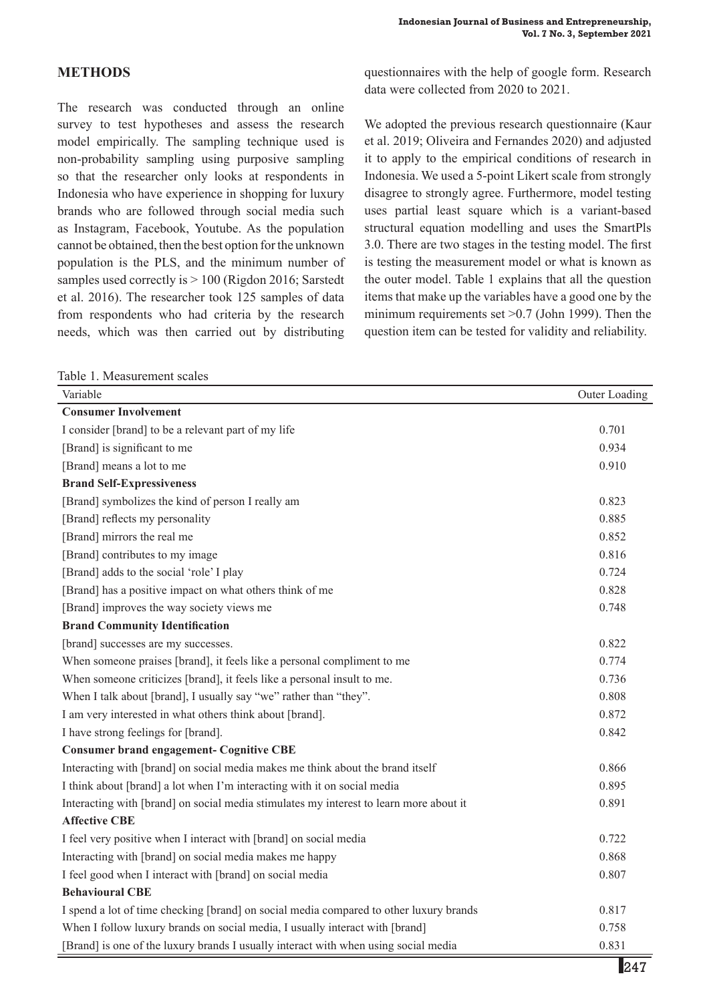## **Methods**

The research was conducted through an online survey to test hypotheses and assess the research model empirically. The sampling technique used is non-probability sampling using purposive sampling so that the researcher only looks at respondents in Indonesia who have experience in shopping for luxury brands who are followed through social media such as Instagram, Facebook, Youtube. As the population cannot be obtained, then the best option for the unknown population is the PLS, and the minimum number of samples used correctly is  $> 100$  (Rigdon 2016; Sarstedt et al. 2016). The researcher took 125 samples of data from respondents who had criteria by the research needs, which was then carried out by distributing

Table 1. Measurement scales

questionnaires with the help of google form. Research data were collected from 2020 to 2021.

We adopted the previous research questionnaire (Kaur et al. 2019; Oliveira and Fernandes 2020) and adjusted it to apply to the empirical conditions of research in Indonesia. We used a 5-point Likert scale from strongly disagree to strongly agree. Furthermore, model testing uses partial least square which is a variant-based structural equation modelling and uses the SmartPls 3.0. There are two stages in the testing model. The first is testing the measurement model or what is known as the outer model. Table 1 explains that all the question items that make up the variables have a good one by the minimum requirements set >0.7 (John 1999). Then the question item can be tested for validity and reliability.

| Variable                                                                               | Outer Loading |
|----------------------------------------------------------------------------------------|---------------|
| <b>Consumer Involvement</b>                                                            |               |
| I consider [brand] to be a relevant part of my life                                    | 0.701         |
| [Brand] is significant to me                                                           | 0.934         |
| [Brand] means a lot to me                                                              | 0.910         |
| <b>Brand Self-Expressiveness</b>                                                       |               |
| [Brand] symbolizes the kind of person I really am                                      | 0.823         |
| [Brand] reflects my personality                                                        | 0.885         |
| [Brand] mirrors the real me                                                            | 0.852         |
| [Brand] contributes to my image                                                        | 0.816         |
| [Brand] adds to the social 'role' I play                                               | 0.724         |
| [Brand] has a positive impact on what others think of me                               | 0.828         |
| [Brand] improves the way society views me                                              | 0.748         |
| <b>Brand Community Identification</b>                                                  |               |
| [brand] successes are my successes.                                                    | 0.822         |
| When someone praises [brand], it feels like a personal compliment to me                | 0.774         |
| When someone criticizes [brand], it feels like a personal insult to me.                | 0.736         |
| When I talk about [brand], I usually say "we" rather than "they".                      | 0.808         |
| I am very interested in what others think about [brand].                               | 0.872         |
| I have strong feelings for [brand].                                                    | 0.842         |
| <b>Consumer brand engagement- Cognitive CBE</b>                                        |               |
| Interacting with [brand] on social media makes me think about the brand itself         | 0.866         |
| I think about [brand] a lot when I'm interacting with it on social media               | 0.895         |
| Interacting with [brand] on social media stimulates my interest to learn more about it | 0.891         |
| <b>Affective CBE</b>                                                                   |               |
| I feel very positive when I interact with [brand] on social media                      | 0.722         |
| Interacting with [brand] on social media makes me happy                                | 0.868         |
| I feel good when I interact with [brand] on social media                               | 0.807         |
| <b>Behavioural CBE</b>                                                                 |               |
| I spend a lot of time checking [brand] on social media compared to other luxury brands | 0.817         |
| When I follow luxury brands on social media, I usually interact with [brand]           | 0.758         |
| [Brand] is one of the luxury brands I usually interact with when using social media    | 0.831         |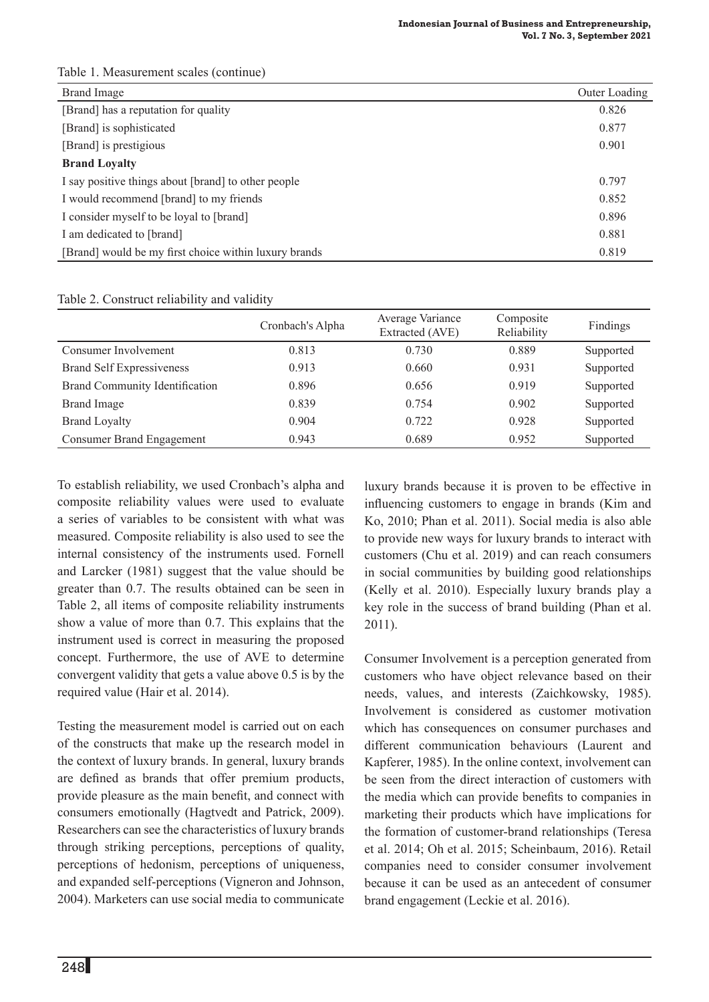| <b>Brand Image</b>                                    | Outer Loading |
|-------------------------------------------------------|---------------|
| [Brand] has a reputation for quality                  | 0.826         |
| [Brand] is sophisticated                              | 0.877         |
| [Brand] is prestigious                                | 0.901         |
| <b>Brand Loyalty</b>                                  |               |
| I say positive things about [brand] to other people   | 0.797         |
| I would recommend [brand] to my friends               | 0.852         |
| I consider myself to be loyal to [brand]              | 0.896         |
| I am dedicated to [brand]                             | 0.881         |
| [Brand] would be my first choice within luxury brands | 0.819         |

### Table 1. Measurement scales (continue)

#### Table 2. Construct reliability and validity

|                                       | Cronbach's Alpha | Average Variance<br>Extracted (AVE) | Composite<br>Reliability | Findings  |
|---------------------------------------|------------------|-------------------------------------|--------------------------|-----------|
| Consumer Involvement                  | 0.813            | 0.730                               | 0.889                    | Supported |
| <b>Brand Self Expressiveness</b>      | 0.913            | 0.660                               | 0.931                    | Supported |
| <b>Brand Community Identification</b> | 0.896            | 0.656                               | 0.919                    | Supported |
| <b>Brand Image</b>                    | 0.839            | 0.754                               | 0.902                    | Supported |
| <b>Brand Loyalty</b>                  | 0.904            | 0.722                               | 0.928                    | Supported |
| Consumer Brand Engagement             | 0.943            | 0.689                               | 0.952                    | Supported |

To establish reliability, we used Cronbach's alpha and composite reliability values were used to evaluate a series of variables to be consistent with what was measured. Composite reliability is also used to see the internal consistency of the instruments used. Fornell and Larcker (1981) suggest that the value should be greater than 0.7. The results obtained can be seen in Table 2, all items of composite reliability instruments show a value of more than 0.7. This explains that the instrument used is correct in measuring the proposed concept. Furthermore, the use of AVE to determine convergent validity that gets a value above 0.5 is by the required value (Hair et al. 2014).

Testing the measurement model is carried out on each of the constructs that make up the research model in the context of luxury brands. In general, luxury brands are defined as brands that offer premium products, provide pleasure as the main benefit, and connect with consumers emotionally (Hagtvedt and Patrick, 2009). Researchers can see the characteristics of luxury brands through striking perceptions, perceptions of quality, perceptions of hedonism, perceptions of uniqueness, and expanded self-perceptions (Vigneron and Johnson, 2004). Marketers can use social media to communicate luxury brands because it is proven to be effective in influencing customers to engage in brands (Kim and Ko, 2010; Phan et al. 2011). Social media is also able to provide new ways for luxury brands to interact with customers (Chu et al. 2019) and can reach consumers in social communities by building good relationships (Kelly et al. 2010). Especially luxury brands play a key role in the success of brand building (Phan et al. 2011).

Consumer Involvement is a perception generated from customers who have object relevance based on their needs, values, and interests (Zaichkowsky, 1985). Involvement is considered as customer motivation which has consequences on consumer purchases and different communication behaviours (Laurent and Kapferer, 1985). In the online context, involvement can be seen from the direct interaction of customers with the media which can provide benefits to companies in marketing their products which have implications for the formation of customer-brand relationships (Teresa et al. 2014; Oh et al. 2015; Scheinbaum, 2016). Retail companies need to consider consumer involvement because it can be used as an antecedent of consumer brand engagement (Leckie et al. 2016).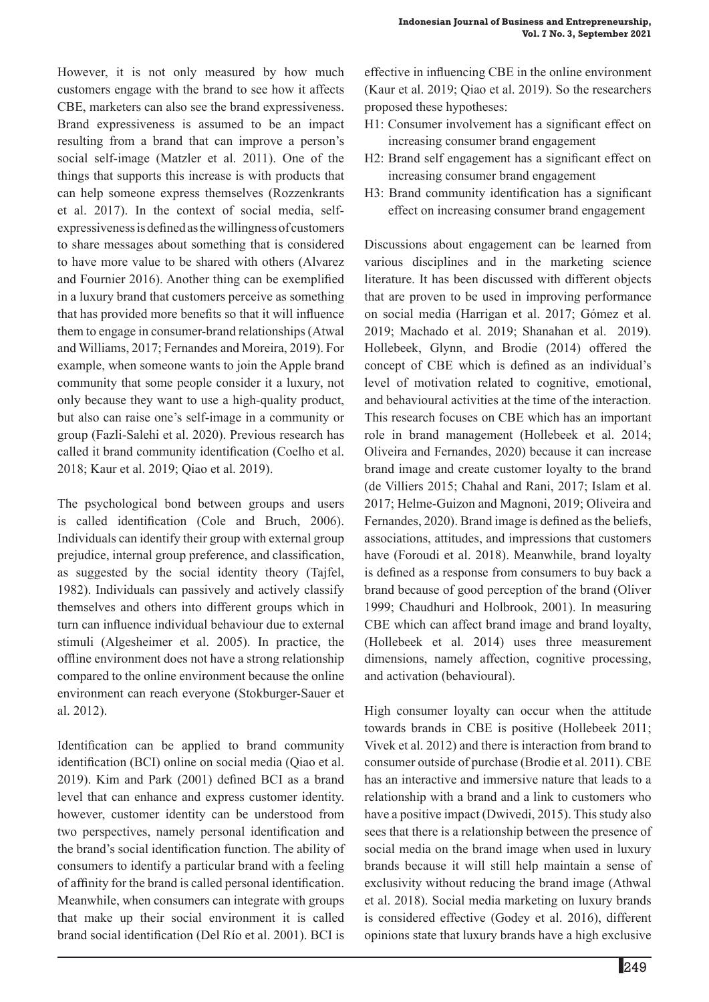However, it is not only measured by how much customers engage with the brand to see how it affects CBE, marketers can also see the brand expressiveness. Brand expressiveness is assumed to be an impact resulting from a brand that can improve a person's social self-image (Matzler et al. 2011). One of the things that supports this increase is with products that can help someone express themselves (Rozzenkrants et al. 2017). In the context of social media, selfexpressiveness is defined as the willingness of customers to share messages about something that is considered to have more value to be shared with others (Alvarez and Fournier 2016). Another thing can be exemplified in a luxury brand that customers perceive as something that has provided more benefits so that it will influence them to engage in consumer-brand relationships (Atwal and Williams, 2017; Fernandes and Moreira, 2019). For example, when someone wants to join the Apple brand community that some people consider it a luxury, not only because they want to use a high-quality product, but also can raise one's self-image in a community or

group (Fazli-Salehi et al. 2020). Previous research has called it brand community identification (Coelho et al. 2018; Kaur et al. 2019; Qiao et al. 2019).

The psychological bond between groups and users is called identification (Cole and Bruch, 2006). Individuals can identify their group with external group prejudice, internal group preference, and classification, as suggested by the social identity theory (Tajfel, 1982). Individuals can passively and actively classify themselves and others into different groups which in turn can influence individual behaviour due to external stimuli (Algesheimer et al. 2005). In practice, the offline environment does not have a strong relationship compared to the online environment because the online environment can reach everyone (Stokburger-Sauer et al. 2012).

Identification can be applied to brand community identification (BCI) online on social media (Qiao et al. 2019). Kim and Park (2001) defined BCI as a brand level that can enhance and express customer identity. however, customer identity can be understood from two perspectives, namely personal identification and the brand's social identification function. The ability of consumers to identify a particular brand with a feeling of affinity for the brand is called personal identification. Meanwhile, when consumers can integrate with groups that make up their social environment it is called brand social identification (Del Río et al. 2001). BCI is

effective in influencing CBE in the online environment (Kaur et al. 2019; Qiao et al. 2019). So the researchers proposed these hypotheses:

- H1: Consumer involvement has a significant effect on increasing consumer brand engagement
- H2: Brand self engagement has a significant effect on increasing consumer brand engagement
- H3: Brand community identification has a significant effect on increasing consumer brand engagement

Discussions about engagement can be learned from various disciplines and in the marketing science literature. It has been discussed with different objects that are proven to be used in improving performance on social media (Harrigan et al. 2017; Gómez et al. 2019; Machado et al. 2019; Shanahan et al. 2019). Hollebeek, Glynn, and Brodie (2014) offered the concept of CBE which is defined as an individual's level of motivation related to cognitive, emotional, and behavioural activities at the time of the interaction. This research focuses on CBE which has an important role in brand management (Hollebeek et al. 2014; Oliveira and Fernandes, 2020) because it can increase brand image and create customer loyalty to the brand (de Villiers 2015; Chahal and Rani, 2017; Islam et al. 2017; Helme-Guizon and Magnoni, 2019; Oliveira and Fernandes, 2020). Brand image is defined as the beliefs, associations, attitudes, and impressions that customers have (Foroudi et al. 2018). Meanwhile, brand loyalty is defined as a response from consumers to buy back a brand because of good perception of the brand (Oliver 1999; Chaudhuri and Holbrook, 2001). In measuring CBE which can affect brand image and brand loyalty, (Hollebeek et al. 2014) uses three measurement dimensions, namely affection, cognitive processing, and activation (behavioural).

High consumer loyalty can occur when the attitude towards brands in CBE is positive (Hollebeek 2011; Vivek et al. 2012) and there is interaction from brand to consumer outside of purchase (Brodie et al. 2011). CBE has an interactive and immersive nature that leads to a relationship with a brand and a link to customers who have a positive impact (Dwivedi, 2015). This study also sees that there is a relationship between the presence of social media on the brand image when used in luxury brands because it will still help maintain a sense of exclusivity without reducing the brand image (Athwal et al. 2018). Social media marketing on luxury brands is considered effective (Godey et al. 2016), different opinions state that luxury brands have a high exclusive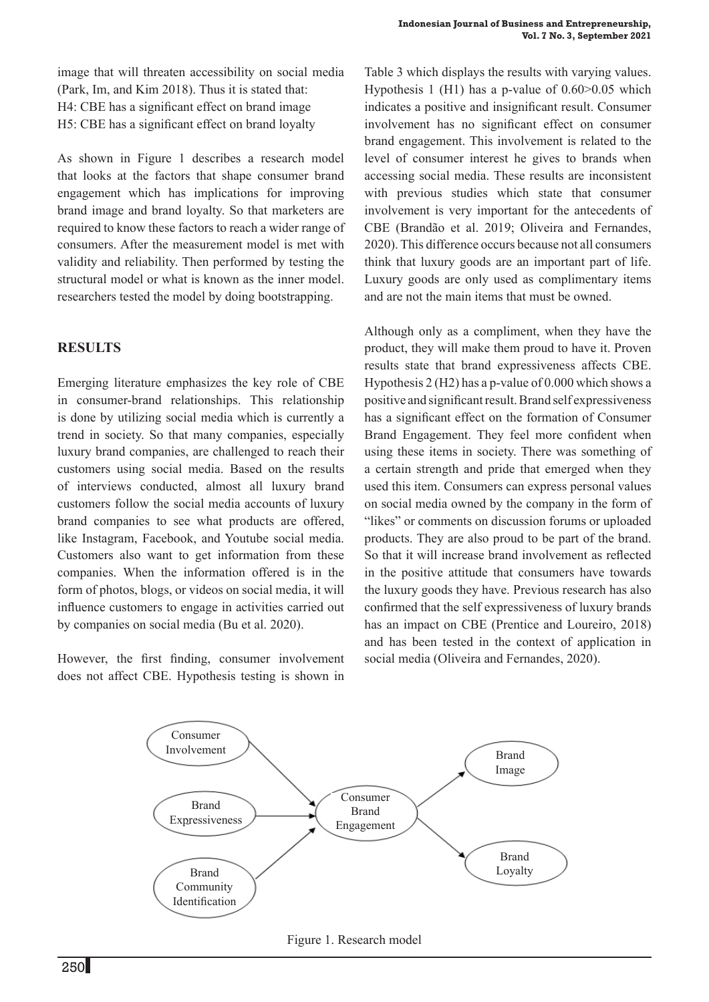image that will threaten accessibility on social media (Park, Im, and Kim 2018). Thus it is stated that: H4: CBE has a significant effect on brand image H5: CBE has a significant effect on brand loyalty

As shown in Figure 1 describes a research model that looks at the factors that shape consumer brand engagement which has implications for improving brand image and brand loyalty. So that marketers are required to know these factors to reach a wider range of consumers. After the measurement model is met with validity and reliability. Then performed by testing the structural model or what is known as the inner model. researchers tested the model by doing bootstrapping.

## **Results**

Emerging literature emphasizes the key role of CBE in consumer-brand relationships. This relationship is done by utilizing social media which is currently a trend in society. So that many companies, especially luxury brand companies, are challenged to reach their customers using social media. Based on the results of interviews conducted, almost all luxury brand customers follow the social media accounts of luxury brand companies to see what products are offered, like Instagram, Facebook, and Youtube social media. Customers also want to get information from these companies. When the information offered is in the form of photos, blogs, or videos on social media, it will influence customers to engage in activities carried out by companies on social media (Bu et al. 2020).

However, the first finding, consumer involvement does not affect CBE. Hypothesis testing is shown in

Table 3 which displays the results with varying values. Hypothesis 1 (H1) has a p-value of 0.60>0.05 which indicates a positive and insignificant result. Consumer involvement has no significant effect on consumer brand engagement. This involvement is related to the level of consumer interest he gives to brands when accessing social media. These results are inconsistent with previous studies which state that consumer involvement is very important for the antecedents of CBE (Brandão et al. 2019; Oliveira and Fernandes, 2020). This difference occurs because not all consumers think that luxury goods are an important part of life. Luxury goods are only used as complimentary items and are not the main items that must be owned.

Although only as a compliment, when they have the product, they will make them proud to have it. Proven results state that brand expressiveness affects CBE. Hypothesis 2 (H2) has a p-value of 0.000 which shows a positive and significant result. Brand self expressiveness has a significant effect on the formation of Consumer Brand Engagement. They feel more confident when using these items in society. There was something of a certain strength and pride that emerged when they used this item. Consumers can express personal values on social media owned by the company in the form of "likes" or comments on discussion forums or uploaded products. They are also proud to be part of the brand. So that it will increase brand involvement as reflected in the positive attitude that consumers have towards the luxury goods they have. Previous research has also confirmed that the self expressiveness of luxury brands has an impact on CBE (Prentice and Loureiro, 2018) and has been tested in the context of application in social media (Oliveira and Fernandes, 2020).



Figure 1. Research model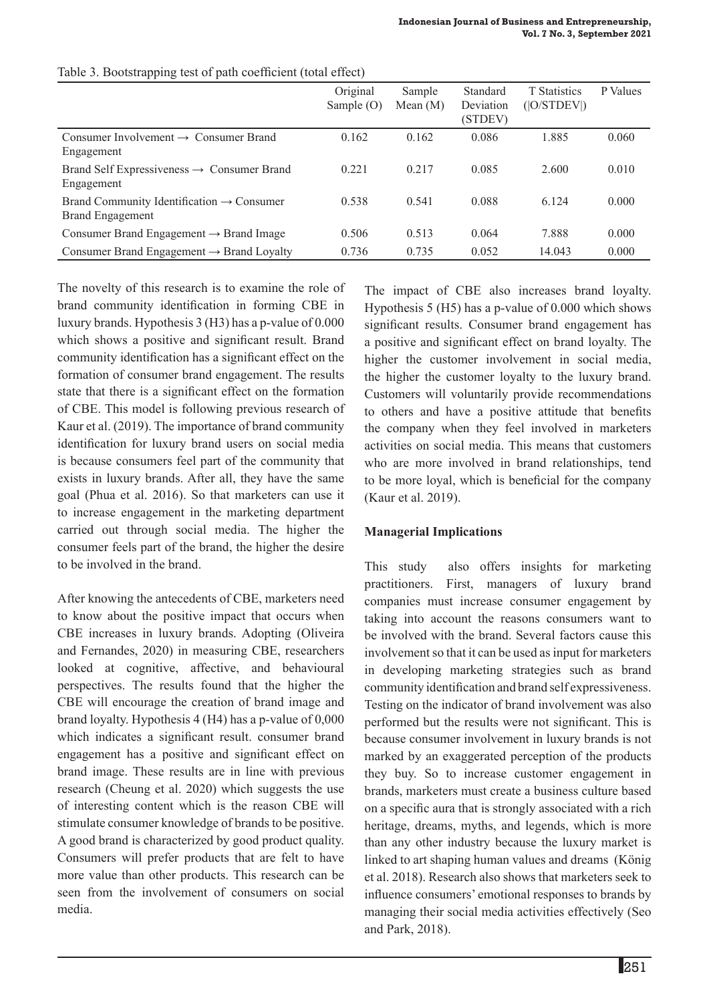|                                                                                  | Original<br>Sample $(O)$ | Sample<br>Mean $(M)$ | Standard<br>Deviation<br>(STDEV) | <b>T</b> Statistics<br>( O/STDEV ) | P Values |
|----------------------------------------------------------------------------------|--------------------------|----------------------|----------------------------------|------------------------------------|----------|
| Consumer Involvement $\rightarrow$ Consumer Brand<br>Engagement                  | 0.162                    | 0.162                | 0.086                            | 1.885                              | 0.060    |
| Brand Self Expressiveness $\rightarrow$ Consumer Brand<br>Engagement             | 0.221                    | 0.217                | 0.085                            | 2.600                              | 0.010    |
| Brand Community Identification $\rightarrow$ Consumer<br><b>Brand Engagement</b> | 0.538                    | 0.541                | 0.088                            | 6 1 2 4                            | 0.000    |
| Consumer Brand Engagement $\rightarrow$ Brand Image                              | 0.506                    | 0.513                | 0.064                            | 7.888                              | 0.000    |
| Consumer Brand Engagement $\rightarrow$ Brand Loyalty                            | 0.736                    | 0.735                | 0.052                            | 14.043                             | 0.000    |

#### Table 3. Bootstrapping test of path coefficient (total effect)

The novelty of this research is to examine the role of brand community identification in forming CBE in luxury brands. Hypothesis 3 (H3) has a p-value of 0.000 which shows a positive and significant result. Brand community identification has a significant effect on the formation of consumer brand engagement. The results state that there is a significant effect on the formation of CBE. This model is following previous research of Kaur et al. (2019). The importance of brand community identification for luxury brand users on social media is because consumers feel part of the community that exists in luxury brands. After all, they have the same goal (Phua et al. 2016). So that marketers can use it to increase engagement in the marketing department carried out through social media. The higher the consumer feels part of the brand, the higher the desire to be involved in the brand.

After knowing the antecedents of CBE, marketers need to know about the positive impact that occurs when CBE increases in luxury brands. Adopting (Oliveira and Fernandes, 2020) in measuring CBE, researchers looked at cognitive, affective, and behavioural perspectives. The results found that the higher the CBE will encourage the creation of brand image and brand loyalty. Hypothesis 4 (H4) has a p-value of 0,000 which indicates a significant result. consumer brand engagement has a positive and significant effect on brand image. These results are in line with previous research (Cheung et al. 2020) which suggests the use of interesting content which is the reason CBE will stimulate consumer knowledge of brands to be positive. A good brand is characterized by good product quality. Consumers will prefer products that are felt to have more value than other products. This research can be seen from the involvement of consumers on social media.

The impact of CBE also increases brand loyalty. Hypothesis 5 (H5) has a p-value of 0.000 which shows significant results. Consumer brand engagement has a positive and significant effect on brand loyalty. The higher the customer involvement in social media, the higher the customer loyalty to the luxury brand. Customers will voluntarily provide recommendations to others and have a positive attitude that benefits the company when they feel involved in marketers activities on social media. This means that customers who are more involved in brand relationships, tend to be more loyal, which is beneficial for the company (Kaur et al. 2019).

### **Managerial Implications**

This study also offers insights for marketing practitioners. First, managers of luxury brand companies must increase consumer engagement by taking into account the reasons consumers want to be involved with the brand. Several factors cause this involvement so that it can be used as input for marketers in developing marketing strategies such as brand community identification and brand self expressiveness. Testing on the indicator of brand involvement was also performed but the results were not significant. This is because consumer involvement in luxury brands is not marked by an exaggerated perception of the products they buy. So to increase customer engagement in brands, marketers must create a business culture based on a specific aura that is strongly associated with a rich heritage, dreams, myths, and legends, which is more than any other industry because the luxury market is linked to art shaping human values and dreams (König et al. 2018). Research also shows that marketers seek to influence consumers' emotional responses to brands by managing their social media activities effectively (Seo and Park, 2018).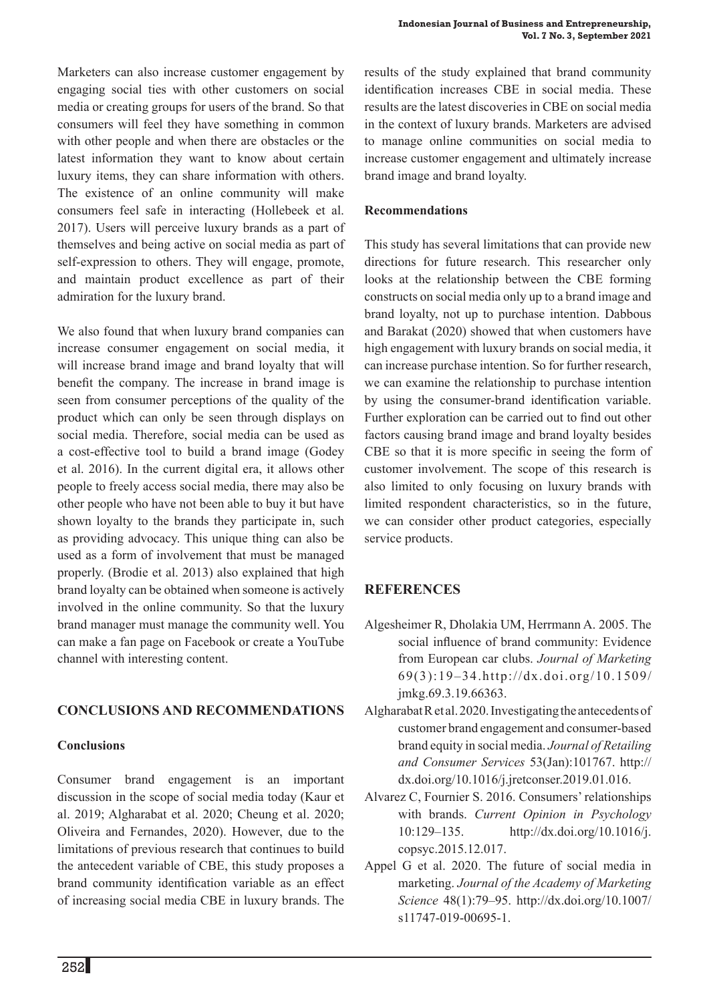Marketers can also increase customer engagement by engaging social ties with other customers on social media or creating groups for users of the brand. So that consumers will feel they have something in common with other people and when there are obstacles or the latest information they want to know about certain luxury items, they can share information with others. The existence of an online community will make consumers feel safe in interacting (Hollebeek et al. 2017). Users will perceive luxury brands as a part of themselves and being active on social media as part of self-expression to others. They will engage, promote, and maintain product excellence as part of their admiration for the luxury brand.

We also found that when luxury brand companies can increase consumer engagement on social media, it will increase brand image and brand loyalty that will benefit the company. The increase in brand image is seen from consumer perceptions of the quality of the product which can only be seen through displays on social media. Therefore, social media can be used as a cost-effective tool to build a brand image (Godey et al. 2016). In the current digital era, it allows other people to freely access social media, there may also be other people who have not been able to buy it but have shown loyalty to the brands they participate in, such as providing advocacy. This unique thing can also be used as a form of involvement that must be managed properly. (Brodie et al. 2013) also explained that high brand loyalty can be obtained when someone is actively involved in the online community. So that the luxury brand manager must manage the community well. You can make a fan page on Facebook or create a YouTube channel with interesting content.

### **CONCLUSIONS AND RECOMMENDATIONS**

#### **Conclusions**

Consumer brand engagement is an important discussion in the scope of social media today (Kaur et al. 2019; Algharabat et al. 2020; Cheung et al. 2020; Oliveira and Fernandes, 2020). However, due to the limitations of previous research that continues to build the antecedent variable of CBE, this study proposes a brand community identification variable as an effect of increasing social media CBE in luxury brands. The

results of the study explained that brand community identification increases CBE in social media. These results are the latest discoveries in CBE on social media in the context of luxury brands. Marketers are advised to manage online communities on social media to increase customer engagement and ultimately increase brand image and brand loyalty.

### **Recommendations**

This study has several limitations that can provide new directions for future research. This researcher only looks at the relationship between the CBE forming constructs on social media only up to a brand image and brand loyalty, not up to purchase intention. Dabbous and Barakat (2020) showed that when customers have high engagement with luxury brands on social media, it can increase purchase intention. So for further research, we can examine the relationship to purchase intention by using the consumer-brand identification variable. Further exploration can be carried out to find out other factors causing brand image and brand loyalty besides CBE so that it is more specific in seeing the form of customer involvement. The scope of this research is also limited to only focusing on luxury brands with limited respondent characteristics, so in the future, we can consider other product categories, especially service products.

## **References**

- Algesheimer R, Dholakia UM, Herrmann A. 2005. The social influence of brand community: Evidence from European car clubs. *Journal of Marketing*  69(3):19–34.http://dx.doi.org/10.1509/ jmkg.69.3.19.66363.
- Algharabat R et al. 2020. Investigating the antecedents of customer brand engagement and consumer-based brand equity in social media. *Journal of Retailing and Consumer Services* 53(Jan):101767. http:// dx.doi.org/10.1016/j.jretconser.2019.01.016.
- Alvarez C, Fournier S. 2016. Consumers' relationships with brands. *Current Opinion in Psychology*  10:129–135. http://dx.doi.org/10.1016/j. copsyc.2015.12.017.
- Appel G et al. 2020. The future of social media in marketing. *Journal of the Academy of Marketing Science* 48(1):79–95. http://dx.doi.org/10.1007/ s11747-019-00695-1.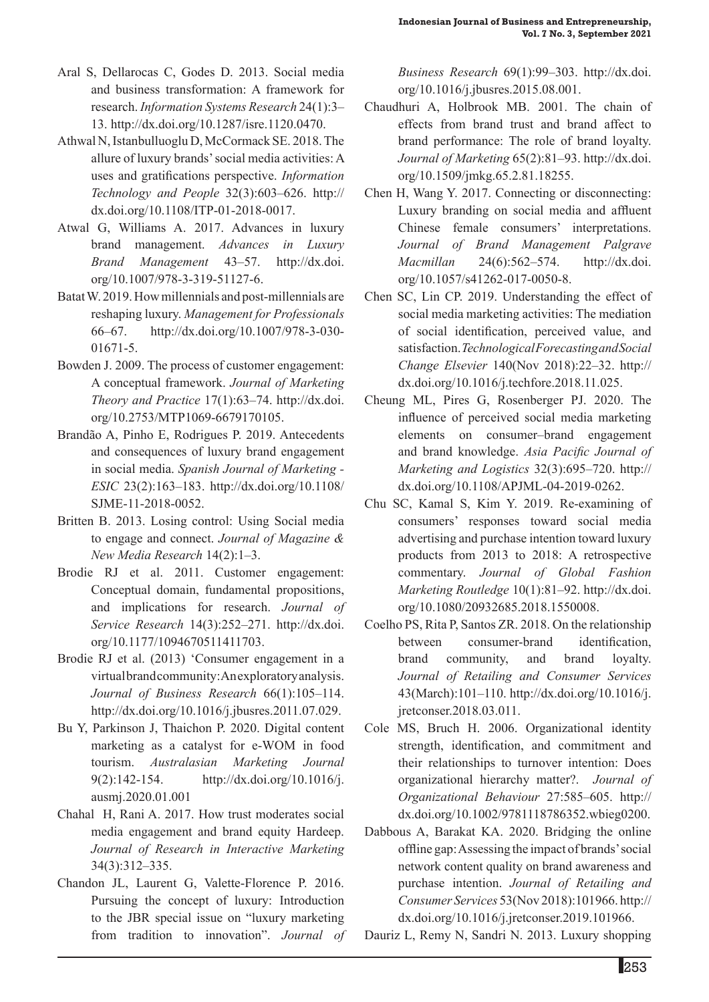- Aral S, Dellarocas C, Godes D. 2013. Social media and business transformation: A framework for research. *Information Systems Research* 24(1):3– 13. http://dx.doi.org/10.1287/isre.1120.0470.
- Athwal N, Istanbulluoglu D, McCormack SE. 2018. The allure of luxury brands' social media activities: A uses and gratifications perspective. *Information Technology and People* 32(3):603–626. http:// dx.doi.org/10.1108/ITP-01-2018-0017.
- Atwal G, Williams A. 2017. Advances in luxury brand management. *Advances in Luxury Brand Management* 43–57. http://dx.doi. org/10.1007/978-3-319-51127-6.
- Batat W. 2019. How millennials and post-millennials are reshaping luxury. *Management for Professionals*  66–67. http://dx.doi.org/10.1007/978-3-030- 01671-5.
- Bowden J. 2009. The process of customer engagement: A conceptual framework. *Journal of Marketing Theory and Practice* 17(1):63–74. http://dx.doi. org/10.2753/MTP1069-6679170105.
- Brandão A, Pinho E, Rodrigues P. 2019. Antecedents and consequences of luxury brand engagement in social media. *Spanish Journal of Marketing - ESIC* 23(2):163–183. http://dx.doi.org/10.1108/ SJME-11-2018-0052.
- Britten B. 2013. Losing control: Using Social media to engage and connect. *Journal of Magazine & New Media Research* 14(2):1–3.
- Brodie RJ et al. 2011. Customer engagement: Conceptual domain, fundamental propositions, and implications for research. *Journal of Service Research* 14(3):252–271. http://dx.doi. org/10.1177/1094670511411703.
- Brodie RJ et al. (2013) 'Consumer engagement in a virtual brand community: An exploratory analysis. *Journal of Business Research* 66(1):105–114. http://dx.doi.org/10.1016/j.jbusres.2011.07.029.
- Bu Y, Parkinson J, Thaichon P. 2020. Digital content marketing as a catalyst for e-WOM in food tourism. *Australasian Marketing Journal*  9(2):142-154. http://dx.doi.org/10.1016/j. ausmj.2020.01.001
- Chahal H, Rani A. 2017. How trust moderates social media engagement and brand equity Hardeep. *Journal of Research in Interactive Marketing*  34(3):312–335.
- Chandon JL, Laurent G, Valette-Florence P. 2016. Pursuing the concept of luxury: Introduction to the JBR special issue on "luxury marketing from tradition to innovation". *Journal of*

*Business Research* 69(1):99–303. http://dx.doi. org/10.1016/j.jbusres.2015.08.001.

- Chaudhuri A, Holbrook MB. 2001. The chain of effects from brand trust and brand affect to brand performance: The role of brand loyalty. *Journal of Marketing* 65(2):81–93. http://dx.doi. org/10.1509/jmkg.65.2.81.18255.
- Chen H, Wang Y. 2017. Connecting or disconnecting: Luxury branding on social media and affluent Chinese female consumers' interpretations. *Journal of Brand Management Palgrave Macmillan* 24(6):562–574. http://dx.doi. org/10.1057/s41262-017-0050-8.
- Chen SC, Lin CP. 2019. Understanding the effect of social media marketing activities: The mediation of social identification, perceived value, and satisfaction. *Technological Forecasting and Social Change Elsevier* 140(Nov 2018):22–32. http:// dx.doi.org/10.1016/j.techfore.2018.11.025.
- Cheung ML, Pires G, Rosenberger PJ. 2020. The influence of perceived social media marketing elements on consumer–brand engagement and brand knowledge. *Asia Pacific Journal of Marketing and Logistics* 32(3):695–720. http:// dx.doi.org/10.1108/APJML-04-2019-0262.
- Chu SC, Kamal S, Kim Y. 2019. Re-examining of consumers' responses toward social media advertising and purchase intention toward luxury products from 2013 to 2018: A retrospective commentary. *Journal of Global Fashion Marketing Routledge* 10(1):81–92. http://dx.doi. org/10.1080/20932685.2018.1550008.
- Coelho PS, Rita P, Santos ZR. 2018. On the relationship between consumer-brand identification, brand community, and brand loyalty. *Journal of Retailing and Consumer Services* 43(March):101–110. http://dx.doi.org/10.1016/j. jretconser.2018.03.011.
- Cole MS, Bruch H. 2006. Organizational identity strength, identification, and commitment and their relationships to turnover intention: Does organizational hierarchy matter?. *Journal of Organizational Behaviour* 27:585–605. http:// dx.doi.org/10.1002/9781118786352.wbieg0200.
- Dabbous A, Barakat KA. 2020. Bridging the online offline gap: Assessing the impact of brands' social network content quality on brand awareness and purchase intention. *Journal of Retailing and Consumer Services* 53(Nov 2018):101966. http:// dx.doi.org/10.1016/j.jretconser.2019.101966.

Dauriz L, Remy N, Sandri N. 2013. Luxury shopping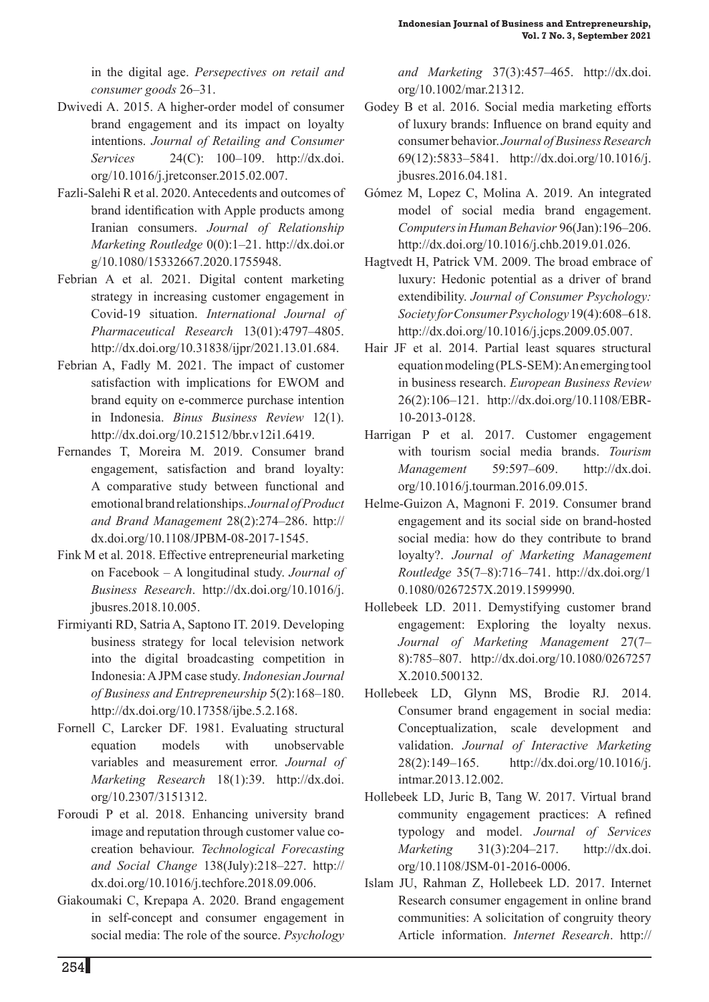in the digital age. *Persepectives on retail and consumer goods* 26–31.

- Dwivedi A. 2015. A higher-order model of consumer brand engagement and its impact on loyalty intentions. *Journal of Retailing and Consumer Services* 24(C): 100–109. http://dx.doi. org/10.1016/j.jretconser.2015.02.007.
- Fazli-Salehi R et al. 2020. Antecedents and outcomes of brand identification with Apple products among Iranian consumers. *Journal of Relationship Marketing Routledge* 0(0):1–21. http://dx.doi.or g/10.1080/15332667.2020.1755948.
- Febrian A et al. 2021. Digital content marketing strategy in increasing customer engagement in Covid-19 situation. *International Journal of Pharmaceutical Research* 13(01):4797–4805. http://dx.doi.org/10.31838/ijpr/2021.13.01.684.
- Febrian A, Fadly M. 2021. The impact of customer satisfaction with implications for EWOM and brand equity on e-commerce purchase intention in Indonesia. *Binus Business Review* 12(1). http://dx.doi.org/10.21512/bbr.v12i1.6419.
- Fernandes T, Moreira M. 2019. Consumer brand engagement, satisfaction and brand loyalty: A comparative study between functional and emotional brand relationships. *Journal of Product and Brand Management* 28(2):274–286. http:// dx.doi.org/10.1108/JPBM-08-2017-1545.
- Fink M et al. 2018. Effective entrepreneurial marketing on Facebook – A longitudinal study. *Journal of Business Research*. http://dx.doi.org/10.1016/j. jbusres.2018.10.005.
- Firmiyanti RD, Satria A, Saptono IT. 2019. Developing business strategy for local television network into the digital broadcasting competition in Indonesia: A JPM case study. *Indonesian Journal of Business and Entrepreneurship* 5(2):168–180. http://dx.doi.org/10.17358/ijbe.5.2.168.
- Fornell C, Larcker DF. 1981. Evaluating structural equation models with unobservable variables and measurement error. *Journal of Marketing Research* 18(1):39. http://dx.doi. org/10.2307/3151312.
- Foroudi P et al. 2018. Enhancing university brand image and reputation through customer value cocreation behaviour. *Technological Forecasting and Social Change* 138(July):218–227. http:// dx.doi.org/10.1016/j.techfore.2018.09.006.
- Giakoumaki C, Krepapa A. 2020. Brand engagement in self-concept and consumer engagement in social media: The role of the source. *Psychology*

*and Marketing* 37(3):457–465. http://dx.doi. org/10.1002/mar.21312.

- Godey B et al. 2016. Social media marketing efforts of luxury brands: Influence on brand equity and consumer behavior. *Journal of Business Research* 69(12):5833–5841. http://dx.doi.org/10.1016/j. jbusres.2016.04.181.
- Gómez M, Lopez C, Molina A. 2019. An integrated model of social media brand engagement. *Computers in Human Behavior* 96(Jan):196–206. http://dx.doi.org/10.1016/j.chb.2019.01.026.
- Hagtvedt H, Patrick VM. 2009. The broad embrace of luxury: Hedonic potential as a driver of brand extendibility. *Journal of Consumer Psychology: Society for Consumer Psychology* 19(4):608–618. http://dx.doi.org/10.1016/j.jcps.2009.05.007.
- Hair JF et al. 2014. Partial least squares structural equation modeling (PLS-SEM): An emerging tool in business research. *European Business Review*  26(2):106–121. http://dx.doi.org/10.1108/EBR-10-2013-0128.
- Harrigan P et al. 2017. Customer engagement with tourism social media brands. *Tourism Management* 59:597–609. http://dx.doi. org/10.1016/j.tourman.2016.09.015.
- Helme-Guizon A, Magnoni F. 2019. Consumer brand engagement and its social side on brand-hosted social media: how do they contribute to brand loyalty?. *Journal of Marketing Management Routledge* 35(7–8):716–741. http://dx.doi.org/1 0.1080/0267257X.2019.1599990.
- Hollebeek LD. 2011. Demystifying customer brand engagement: Exploring the loyalty nexus. *Journal of Marketing Management* 27(7– 8):785–807. http://dx.doi.org/10.1080/0267257 X.2010.500132.
- Hollebeek LD, Glynn MS, Brodie RJ. 2014. Consumer brand engagement in social media: Conceptualization, scale development and validation. *Journal of Interactive Marketing*  28(2):149–165. http://dx.doi.org/10.1016/j. intmar.2013.12.002.
- Hollebeek LD, Juric B, Tang W. 2017. Virtual brand community engagement practices: A refined typology and model. *Journal of Services Marketing* 31(3):204–217. http://dx.doi. org/10.1108/JSM-01-2016-0006.
- Islam JU, Rahman Z, Hollebeek LD. 2017. Internet Research consumer engagement in online brand communities: A solicitation of congruity theory Article information. *Internet Research*. http://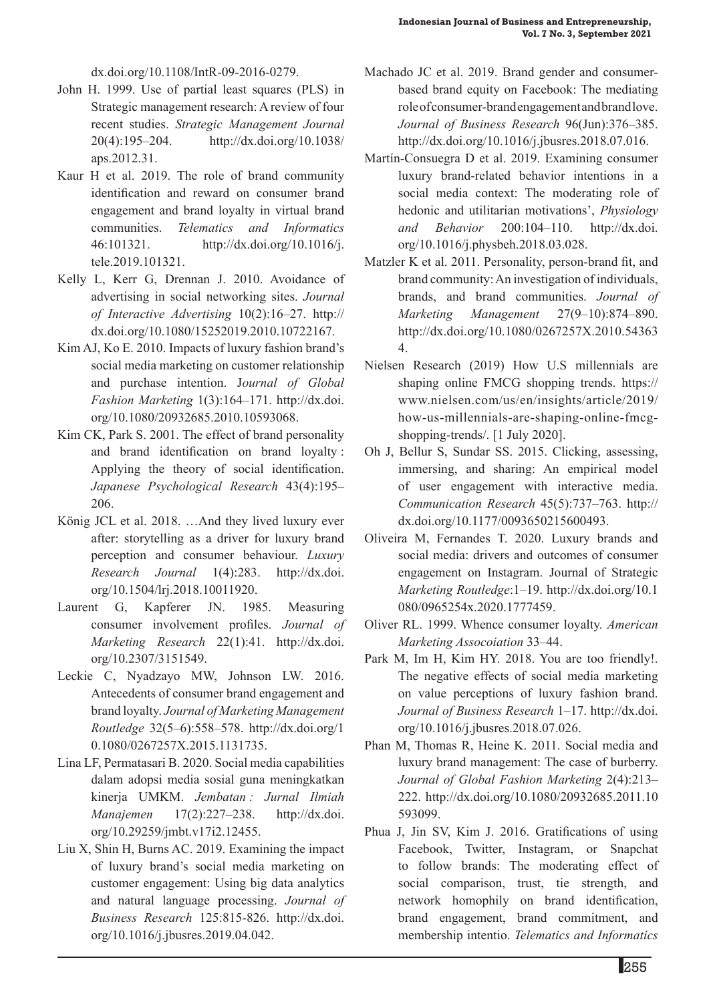dx.doi.org/10.1108/IntR-09-2016-0279.

- John H. 1999. Use of partial least squares (PLS) in Strategic management research: A review of four recent studies. *Strategic Management Journal*  20(4):195–204. http://dx.doi.org/10.1038/ aps.2012.31.
- Kaur H et al. 2019. The role of brand community identification and reward on consumer brand engagement and brand loyalty in virtual brand communities. *Telematics and Informatics* 46:101321. http://dx.doi.org/10.1016/j. tele.2019.101321.
- Kelly L, Kerr G, Drennan J. 2010. Avoidance of advertising in social networking sites. *Journal of Interactive Advertising* 10(2):16–27. http:// dx.doi.org/10.1080/15252019.2010.10722167.
- Kim AJ, Ko E. 2010. Impacts of luxury fashion brand's social media marketing on customer relationship and purchase intention. J*ournal of Global Fashion Marketing* 1(3):164–171. http://dx.doi. org/10.1080/20932685.2010.10593068.
- Kim CK, Park S. 2001. The effect of brand personality and brand identification on brand loyalty : Applying the theory of social identification. *Japanese Psychological Research* 43(4):195– 206.
- König JCL et al. 2018. …And they lived luxury ever after: storytelling as a driver for luxury brand perception and consumer behaviour. *Luxury Research Journal* 1(4):283. http://dx.doi. org/10.1504/lrj.2018.10011920.
- Laurent G, Kapferer JN. 1985. Measuring consumer involvement profiles. *Journal of Marketing Research* 22(1):41. http://dx.doi. org/10.2307/3151549.
- Leckie C, Nyadzayo MW, Johnson LW. 2016. Antecedents of consumer brand engagement and brand loyalty. *Journal of Marketing Management Routledge* 32(5–6):558–578. http://dx.doi.org/1 0.1080/0267257X.2015.1131735.
- Lina LF, Permatasari B. 2020. Social media capabilities dalam adopsi media sosial guna meningkatkan kinerja UMKM. *Jembatan : Jurnal Ilmiah Manajemen* 17(2):227–238. http://dx.doi. org/10.29259/jmbt.v17i2.12455.
- Liu X, Shin H, Burns AC. 2019. Examining the impact of luxury brand's social media marketing on customer engagement: Using big data analytics and natural language processing. *Journal of Business Research* 125:815-826. http://dx.doi. org/10.1016/j.jbusres.2019.04.042.
- Machado JC et al. 2019. Brand gender and consumerbased brand equity on Facebook: The mediating role of consumer-brand engagement and brand love. *Journal of Business Research* 96(Jun):376–385. http://dx.doi.org/10.1016/j.jbusres.2018.07.016.
- Martín-Consuegra D et al. 2019. Examining consumer luxury brand-related behavior intentions in a social media context: The moderating role of hedonic and utilitarian motivations', *Physiology and Behavior* 200:104–110. http://dx.doi. org/10.1016/j.physbeh.2018.03.028.
- Matzler K et al. 2011. Personality, person-brand fit, and brand community: An investigation of individuals, brands, and brand communities. *Journal of Marketing Management* 27(9–10):874–890. http://dx.doi.org/10.1080/0267257X.2010.54363 4.
- Nielsen Research (2019) How U.S millennials are shaping online FMCG shopping trends. https:// www.nielsen.com/us/en/insights/article/2019/ how-us-millennials-are-shaping-online-fmcgshopping-trends/. [1 July 2020].
- Oh J, Bellur S, Sundar SS. 2015. Clicking, assessing, immersing, and sharing: An empirical model of user engagement with interactive media. *Communication Research* 45(5):737–763. http:// dx.doi.org/10.1177/0093650215600493.
- Oliveira M, Fernandes T. 2020. Luxury brands and social media: drivers and outcomes of consumer engagement on Instagram. Journal of Strategic *Marketing Routledge*:1–19. http://dx.doi.org/10.1 080/0965254x.2020.1777459.
- Oliver RL. 1999. Whence consumer loyalty. *American Marketing Assocoiation* 33–44.
- Park M, Im H, Kim HY. 2018. You are too friendly!. The negative effects of social media marketing on value perceptions of luxury fashion brand. *Journal of Business Research* 1–17. http://dx.doi. org/10.1016/j.jbusres.2018.07.026.
- Phan M, Thomas R, Heine K. 2011. Social media and luxury brand management: The case of burberry. *Journal of Global Fashion Marketing* 2(4):213– 222. http://dx.doi.org/10.1080/20932685.2011.10 593099.
- Phua J, Jin SV, Kim J. 2016. Gratifications of using Facebook, Twitter, Instagram, or Snapchat to follow brands: The moderating effect of social comparison, trust, tie strength, and network homophily on brand identification, brand engagement, brand commitment, and membership intentio. *Telematics and Informatics*